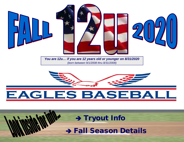

*You are 12u… if you are 12 years old or younger on 8/31/2020 (born between 9/1/2008 thru 8/31/2009)*



# EAGLES BASEBA

→ **Tryout Info** 

 **Fall Season Details**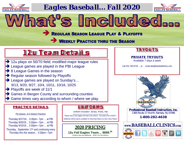

# *Eagles Baseball… Fall 2020*



## REGULAR SEASON LEAGUE PLAY & PLAYOFFS

What's Included...

## **WEEKLY PRACTICE THRU THE SEASON**

# **12u Team Details**

- **→** 12u plays on 50/70 field; modified major league rules
- $\rightarrow$  League games are played in the PBI League
- **→ 8 League Games in the season**
- Regular season followed by Playoffs
- → League games are played on Sunday's... 9/13, 9/20, 9/27, 10/4, 10/11, 10/18, 10/25
- $\rightarrow$  Playoffs are week of 11/1
- Games in Bergen County and surrounding counties
- Game times vary according to whom / where we play.

### **PRACTICE DETAILS**

#### *Pre-Season & In-Season Practices*

Thursday 8/27/19… 5:30pm– 7pm … at PBI Thursday 9/03/19… 5:30pm—7pm … at PBI Thursday 9/10/19… 5:30pm—7pm … at PBI

Thursday, September 17<sup>th</sup> and continuing every Thursday thru the season… 5:30pm—7pm

### **UNIFORMS**

Uniform includes> Jersey, Pants, Hat

Players new to the Eagles will need a full uniform. Full uniform fee is \$100.00 Additional uniform pieces available for Returning Players as well a New Players

2020 PRICI **12u Fall Eagles Team… \$699.<sup>99</sup>** *(Uniform fees are additional… \$100.00 for full uniform)* 

### **TRYOUTS**

### **PRIVATE TRYOUTS**

Available 7 days a week

Call 201-760-8720 ...or… email [deb@baseballclinics.com](mailto:deb@baseballclinics.com)



**Professional Baseball Instruction, Inc.** 1300 Route 17 North, Ramsey, NJ 07446

**1-800-282-4638**